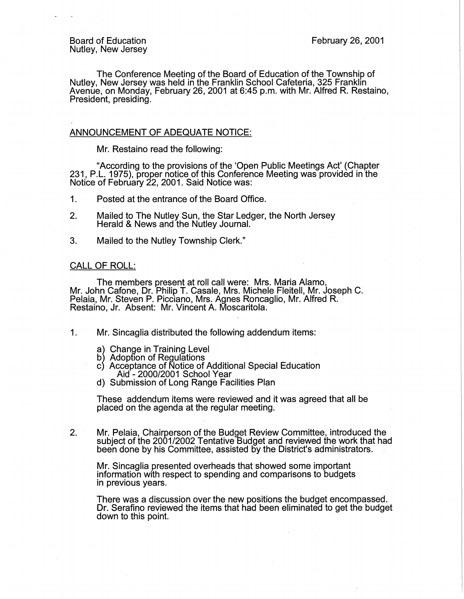The Conference Meeting of the Board of Education of the Township of Nutley, New Jersey was held in the Franklin School Cafeteria, 325 Franklin Avenue, on Monday, February 26, 2001 at 6:45 p.m. with Mr. Alfred R. Restaino, President, presiding.

## ANNOUNCEMENT OF ADEQUATE NOTICE:

Mr. Restaino read the following:

"According to the provisions of the 'Open Public Meetings Act' (Chapter 231, P.L. 1975), proper notice of this Conference Meeting was provided in the Notice of February 22, 2001. Said Notice was:

1. Posted at the entrance of the Board Office.

- 2. Mailed to The Nutley Sun, the Star Ledger, the North Jersey Herald & News and the Nutley Journal.
- 3. Mailed to the Nutley Township Clerk."

## CALL OF ROLL:

The members present at roll call were: Mrs. Maria Alamo, Mr. John Catone, Dr. Philip T. Casale, Mrs. Michele Fleitell, Mr. Joseph C. Pelaia, Mr. Steven P. Picciano, Mrs. Agnes Roncaglio, Mr. Alfred R. Restaino, Jr. Absent: Mr. Vincent A. Moscaritola.

- 1. Mr. Sincaglia distributed the following addendum items:
	- a) Change in Training Level
	- b) Adoption of Regulations
	- c) Acceptance of Notice of Additional Special Education Aid - 2000/2001 School Year
	- d) Submission of Long Range Facilities Plan

These addendum items were reviewed and it was agreed that all be placed on the agenda at the regular meeting.

2. Mr. Pelaia, Chairperson of the Budget Review Committee, introduced the subject of the 2001/2002 Tentative Budget and reviewed the work that had been done by his Committee, assisted by the District's administrators.

Mr. Sincaglia presented overheads that showed some important information with respect to spending and comparisons to budgets in previous years.

There was a discussion over the new positions the budget encompassed. Dr. Serafino reviewed the items that had been eliminated to get the budget down to this point.